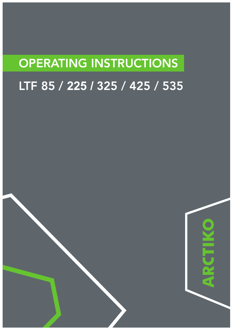# OPERATING INSTRUCTIONS

# LTF 85 / **225 / 3**25 / 425 / 535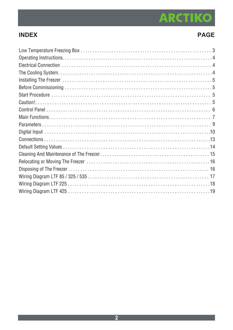# **ARCTIKO**

# **INDEX**

## **PAGE**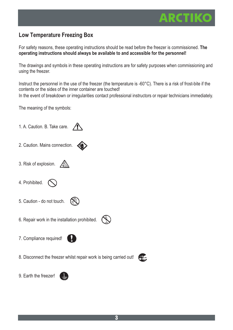## **Low Temperature Freezing Box**

For safety reasons, these operating instructions should be read before the freezer is commissioned. **The operating instructions should always be available to and accessible for the personnel!**

The drawings and symbols in these operating instructions are for safety purposes when commissioning and using the freezer.

Instruct the personnel in the use of the freezer (the temperature is -60°C). There is a risk of frost-bite if the contents or the sides of the inner container are touched! In the event of breakdown or irregularities contact professional instructors or repair technicians immediately.

The meaning of the symbols:



医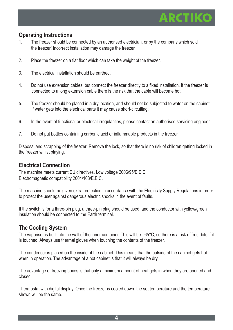

### **Operating Instructions**

- 1. The freezer should be connected by an authorised electrician, or by the company which sold the freezer! Incorrect installation may damage the freezer.
- 2. Place the freezer on a flat floor which can take the weight of the freezer.
- 3. The electrical installation should be earthed.
- 4. Do not use extension cables, but connect the freezer directly to a fixed installation. If the freezer is connected to a long extension cable there is the risk that the cable will become hot.
- 5. The freezer should be placed in a dry location, and should not be subjected to water on the cabinet. If water gets into the electrical parts it may cause short-circuiting.
- 6. In the event of functional or electrical irregularities, please contact an authorised servicing engineer.
- 7. Do not put bottles containing carbonic acid or inflammable products in the freezer.

Disposal and scrapping of the freezer: Remove the lock, so that there is no risk of children getting locked in the freezer whilst playing.

#### **Electrical Connection**

The machine meets current EU directives. Low voltage 2006/95/E.E.C. Electromagnetic compatibility 2004/108/E.E.C.

The machine should be given extra protection in accordance with the Electricity Supply Regulations in order to protect the user against dangerous electric shocks in the event of faults.

If the switch is for a three-pin plug, a three-pin plug should be used, and the conductor with yellow/green insulation should be connected to the Earth terminal.

### **The Cooling System**

The vaporiser is built into the wall of the inner container. This will be - 65°C, so there is a risk of frost-bite if it is touched. Always use thermal gloves when touching the contents of the freezer.

The condenser is placed on the inside of the cabinet. This means that the outside of the cabinet gets hot when in operation. The advantage of a hot cabinet is that it will always be dry.

The advantage of freezing boxes is that only a minimum amount of heat gets in when they are opened and closed.

Thermostat with digital display. Once the freezer is cooled down, the set temperature and the temperature shown will be the same.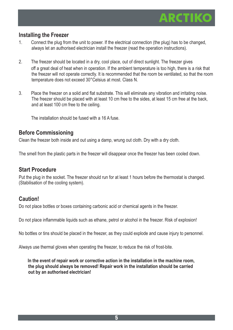

### **Installing the Freezer**

- 1. Connect the plug from the unit to power. If the electrical connection (the plug) has to be changed, always let an authorised electrician install the freezer (read the operation instructions).
- 2. The freezer should be located in a dry, cool place, out of direct sunlight. The freezer gives off a great deal of heat when in operation. If the ambient temperature is too high, there is a risk that the freezer will not operate correctly. It is recommended that the room be ventilated, so that the room temperature does not exceed 30°Celsius at most. Class N.
- 3. Place the freezer on a solid and flat substrate. This will eliminate any vibration and irritating noise. The freezer should be placed with at least 10 cm free to the sides, at least 15 cm free at the back, and at least 100 cm free to the ceiling.

The installation should be fused with a 16 A fuse.

#### **Before Commissioning**

Clean the freezer both inside and out using a damp, wrung out cloth. Dry with a dry cloth.

The smell from the plastic parts in the freezer will disappear once the freezer has been cooled down.

#### **Start Procedure**

Put the plug in the socket. The freezer should run for at least 1 hours before the thermostat is changed. (Stabilisation of the cooling system).

#### **Caution!**

Do not place bottles or boxes containing carbonic acid or chemical agents in the freezer.

Do not place inflammable liquids such as ethane, petrol or alcohol in the freezer. Risk of explosion!

No bottles or tins should be placed in the freezer, as they could explode and cause injury to personnel.

Always use thermal gloves when operating the freezer, to reduce the risk of frost-bite.

**In the event of repair work or corrective action in the installation in the machine room, the plug should always be removed! Repair work in the installation should be carried out by an authorised electrician!**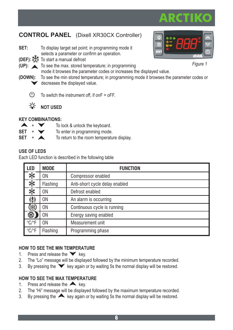# **CONTROL PANEL** (Dixell XR30CX Controller)

- **SET:** To display target set point; in programming mode it selects a parameter or confirm an operation.
- **(DEF):**  $\frac{1}{2}$  To start a manual defrost
- **(UP):** To see the max. stored temperature; in programming

mode it browses the parameter codes or increases the displayed value.

- **(DOWN):** To see the min stored temperature; in programming mode it browses the parameter codes or decreases the displayed value.
	- $\langle \cdot | \cdot \rangle$ To switch the instrument off, if onF = oFF.



**NOT USED**

#### **KEY COMBINATIONS:**

|     |  | To loo |
|-----|--|--------|
| SET |  | To en  |

- ck & unlock the keyboard.
- $SET + \bullet$  To enter in programming mode.
- **SET** +  $\triangle$  To return to the room temperature display.

### **USE OF LEDS**

Each LED function is described in the following table

| <b>LED</b>                              | <b>MODE</b> | <b>FUNCTION</b>                |  |  |
|-----------------------------------------|-------------|--------------------------------|--|--|
| 涞                                       | 0N          | Compressor enabled             |  |  |
| 楽                                       | Flashing    | Anti-short cycle delay enabled |  |  |
| 茶                                       | 0N          | Defrost enabled                |  |  |
| $\mathbf{C}$                            | 0N          | An alarm is occurring          |  |  |
|                                         | ΟN          | Continuous cycle is running    |  |  |
|                                         | 0N          | Energy saving enabled          |  |  |
| $\mathrm{^{\circ}C}/\mathrm{^{\circ}F}$ | ΟN          | Measurement unit               |  |  |
| $^{\circ}$ C/ $^{\circ}$ F              | Flashing    | Programming phase              |  |  |

#### **HOW TO SEE THE MIN TEMPERATURE**

- 1. Press and release the  $\blacktriangledown$  key.
- 2. The "Lo" message will be displayed followed by the minimum temperature recorded.
- 3. By pressing the  $\blacktriangledown$  key again or by waiting 5s the normal display will be restored.

### **HOW TO SEE THE MAX TEMPERATURE**

- 1. Press and release the  $\triangle$  key.
- 2. The "Hi" message will be displayed followed by the maximum temperature recorded.
- 3. By pressing the  $\triangle$  key again or by waiting 5s the normal display will be restored.



*Figure 1*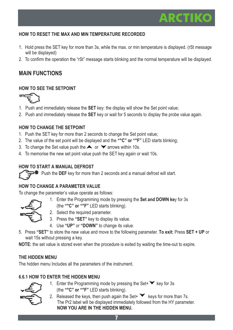# ARCTIK

#### **HOW TO RESET THE MAX AND MIN TEMPERATURE RECORDED**

- 1. Hold press the SET key for more than 3s, while the max. or min temperature is displayed. (rSt message will be displayed)
- 2. To confirm the operation the "rSt" message starts blinking and the normal temperature will be displayed.

### **MAIN FUNCTIONS**

#### **HOW TO SEE THE SETPOINT**



- 1. Push and immediately release the **SET** key: the display will show the Set point value;
- 2. Push and immediately release the **SET** key or wait for 5 seconds to display the probe value again.

#### **HOW TO CHANGE THE SETPOINT**

- 1. Push the SET key for more than 2 seconds to change the Set point value;
- 2. The value of the set point will be displayed and the **"°C" or "°F"** LED starts blinking;
- 3. To change the Set value push the  $\blacktriangle$  or  $\blacktriangledown$  arrows within 10s.
- 4. To memorise the new set point value push the SET key again or wait 10s.

#### **HOW TO START A MANUAL DEFROST**

**E** Push the DEF key for more than 2 seconds and a manual defrost will start.

#### **HOW TO CHANGE A PARAMETER VALUE**

To change the parameter's value operate as follows:

1. Enter the Programming mode by pressing the **Set and DOWN ke**y for 3s



- (the **"°C" or "°F"** LED starts blinking).
- 2. Select the required parameter.
- 3. Press the **"SET"** key to display its value.
- 4. Use **"UP"** or **"DOWN"** to change its value.
- 5. Press **"SET"** to store the new value and move to the following parameter. **To exit:** Press **SET + UP** or wait 15s without pressing a key.

**NOTE:** the set value is stored even when the procedure is exited by waiting the time-out to expire.

#### **THE HIDDEN MENU**

The hidden menu Includes all the parameters of the instrument.

#### **6.6.1 HOW TO ENTER THE HIDDEN MENU**



- 1. Enter the Programming mode by pressing the Set  $\blacktriangleright$  key for 3s (the **"°C" or "°F"** LED starts blinking).
- 2. Released the keys, then push again the Set+  $\blacktriangledown$  keys for more than 7s. The Pr2 label will be displayed immediately followed from the HY parameter. **NOW YOU ARE IN THE HIDDEN MENU.**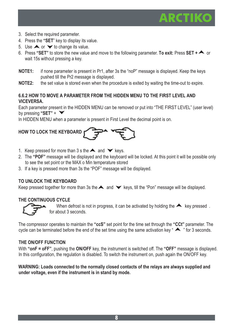# ARCTIK

- 3. Select the required parameter.
- 4. Press the **"SET**" key to display its value.
- 5. Use  $\triangle$  or  $\triangledown$  to change its value.
- 6. Press **"SET"** to store the new value and move to the following parameter. **To exit:** Press **SET +** or wait 15s without pressing a key.
- **NOTE1:** if none parameter is present in Pr1, after 3s the "noP" message is displayed. Keep the keys pushed till the Pr2 message is displayed.
- **NOTE2:** the set value is stored even when the procedure is exited by waiting the time-out to expire.

#### **6.6.2 HOW TO MOVE A PARAMETER FROM THE HIDDEN MENU TO THE FIRST LEVEL AND VICEVERSA.**

Each parameter present in the HIDDEN MENU can be removed or put into "THE FIRST LEVEL" (user level) by pressing **"SET"** +

In HIDDEN MENU when a parameter is present in First Level the decimal point is on.

# **HOW TO LOCK THE KEYBOARD**

- 1. Keep pressed for more than 3 s the  $\blacktriangle$  and  $\blacktriangledown$  keys.
- 2. The **"POF"** message will be displayed and the keyboard will be locked. At this point it will be possible only to see the set point or the MAX o Min temperature stored
- 3. If a key is pressed more than 3s the "POF" message will be displayed.

#### **TO UNLOCK THE KEYBOARD**

Keep pressed together for more than 3s the  $\blacktriangle$  and  $\blacktriangledown$  keys, till the "Pon" message will be displayed.

#### **THE CONTINUOUS CYCLE**



When defrost is not in progress, it can be activated by holding the  $\blacktriangle$  key pressed. for about 3 seconds.

The compressor operates to maintain the **"ccS"** set point for the time set through the **"CCt"** parameter. The cycle can be terminated before the end of the set time using the same activation key  $\triangle$  " for 3 seconds.

#### **THE ON/OFF FUNCTION**

With **"onF = oFF"**, pushing the **ON/OFF** key, the instrument is switched off. The **"OFF"** message is displayed. In this configuration, the regulation is disabled. To switch the instrument on, push again the ON/OFF key.

#### **WARNING: Loads connected to the normally closed contacts of the relays are always supplied and under voltage, even if the instrument is in stand by mode.**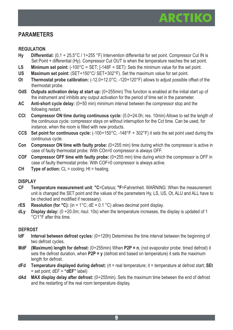### **PARAMETERS**

#### **REGULATION**

- Hy Differential:  $(0.1 \div 25.5^{\circ} \text{C} / 1 \div 255^{\circ} \text{F})$  Intervention differential for set point. Compressor Cut IN is Set Point + differential (Hy). Compressor Cut OUT is when the temperature reaches the set point.
- LS Minimum set point:  $(-100^{\circ}C \div \text{SET}$ ; [-148F  $\div$  SET): Sets the minimum value for the set point.
- **US Maximum set point:** (SET÷150°C/ SET÷302°F). Set the maximum value for set point.
- **Ot Thermostat probe calibration:**  $(-12.0 \div 12.0^{\circ}C; -120 \div 120^{\circ}F)$  allows to adjust possible offset of the thermostat probe.
- **OdS Outputs activation delay at start up:** (0÷255min) This function is enabled at the initial start up of the instrument and inhibits any output activation for the period of time set in the parameter.
- **AC Anti-short cycle delay:** (0÷50 min) minimum interval between the compressor stop and the following restart.
- **CCt Compressor ON time during continuous cycle:** (0.0÷24.0h; res. 10min) Allows to set the length of the continuous cycle: compressor stays on without interruption for the Cct time. Can be used, for instance, when the room is filled with new products.
- **CCS** Set point for continuous cycle:  $(-100 \div 150^{\circ}$ C;  $-148^{\circ}$  F  $\div 302^{\circ}$  F) it sets the set point used during the continuous cycle.
- **Con Compressor ON time with faulty probe:** (0÷255 min) time during which the compressor is active in case of faulty thermostat probe. With COn=0 compressor is always OFF.
- **COF Compressor OFF time with faulty probe:** (0÷255 min) time during which the compressor is OFF in case of faulty thermostat probe. With COF=0 compressor is always active.
- **CH** Type of action: CL = cooling; Ht = heating.

#### **DISPLAY**

- **CF Temperature measurement unit**: **°C**=Celsius; **°F**=Fahrenheit. WARNING: When the measurement unit is changed the SET point and the values of the parameters Hy, LS, US, Ot, ALU and ALL have to be checked and modified if necessary).
- **rES** Resolution (for  $^{\circ}$ C): (in = 1 $^{\circ}$ C; dE = 0.1 $^{\circ}$ C) allows decimal point display.
- **dLy Display delay:** (0 ÷20.0m; risul. 10s) when the temperature increases, the display is updated of 1 °C/1°F after this time.

#### **DEFROST**

- **IdF** Interval between defrost cycles:  $(0+120h)$  Determines the time interval between the beginning of two defrost cycles.
- **MdF (Maximum) length for defrost:** (0÷255min) When **P2P = n**, (not evaporator probe: timed defrost) it sets the defrost duration, when **P2P = y** (defrost end based on temperature) it sets the maximum length for defrost.
- **dFd Temperature displayed during defrost:** (rt = real temperature; it = temperature at defrost start; **SEt** = set point; dEF = **"dEF"** label)
- **dAd MAX display delay after defrost:** (0÷255min). Sets the maximum time between the end of defrost and the restarting of the real room temperature display.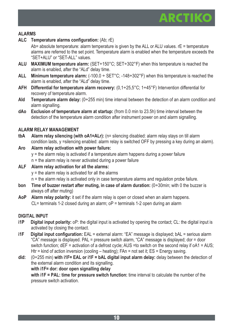#### **ALARMS**

**ALC Temperature alarms configuration:** (Ab; rE)

Ab= absolute temperature: alarm temperature is given by the ALL or ALU values. rE = temperature alarms are referred to the set point. Temperature alarm is enabled when the temperature exceeds the "SET+ALU" or "SET-ALL" values.

- **ALU MAXIMUM temperature alarm:** (SET÷150°C; SET÷302°F) when this temperature is reached the alarm is enabled, after the "ALd" delay time.
- **ALL Minimum temperature alarm:** (-100.0 ÷ SET°C; -148÷302°F) when this temperature is reached the alarm is enabled, after the "ALd" delay time.
- **AFH Differential for temperature alarm recovery:** (0,1÷25,5°C; 1÷45°F) Intervention differential for recovery of temperature alarm.
- **Ald Temperature alarm delay:** (0÷255 min) time interval between the detection of an alarm condition and alarm signalling.
- **dAo Exclusion of temperature alarm at startup:** (from 0.0 min to 23.5h) time interval between the detection of the temperature alarm condition after instrument power on and alarm signalling.

#### **ALARM RELAY MANAGEMENT**

- **tbA Alarm relay silencing (with oA1=ALr):** (n= silencing disabled: alarm relay stays on till alarm condition lasts, y =silencing enabled: alarm relay is switched OFF by pressing a key during an alarm).
- **Aro Alarm relay activation with power failure:**  $y =$  the alarm relay is activated if a temperature alarm happens during a power failure n = the alarm relay is never activated during a power failure **ALF Alarm relay activation for all the alarms:**
	- $v =$  the alarm relav is activated for all the alarms

n = the alarm relay is activated only in case temperature alarms and regulation probe failure.

- **bon Time of buzzer restart after muting, in case of alarm duration:** (0÷30min; with 0 the buzzer is always off after muting)
- **AoP Alarm relay polarity:** it set if the alarm relay is open or closed when an alarm happens. CL= terminals 1-2 closed during an alarm; oP = terminals 1-2 open during an alarm

#### **DIGITAL INPUT**

- **i1P** Digital input polarity:  $\circ$ P: the digital input is activated by opening the contact: CL: the digital input is activated by closing the contact.
- **i1F** Digital input configuration: FAL = external alarm: "FA" message is displayed; bAL = serious alarm "CA" message is displayed. PAL = pressure switch alarm, "CA" message is displayed; dor = door switch function; dEF = activation of a defrost cycle; AUS = to switch on the second relay if oA1 = AUS; Htr = kind of action inversion (cooling – heating); FAn = not set it; ES = Energy saving.
- **did:** (0÷255 min) **with i1F= EAL or i1F = bAL digital input alarm delay:** delay between the detection of the external alarm condition and its signalling.

#### **with i1F= dor: door open signalling delay**

**with i1F = PAL: time for pressure switch function:** time interval to calculate the number of the pressure switch activation.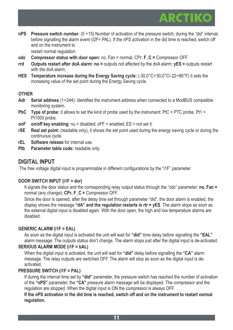# ARCTIKO

**nPS** Pressure switch number: (0 ÷15) Number of activation of the pressure switch, during the "did" interval, before signalling the alarm event (I2F= PAL). If the nPS activation in the did time is reached, switch off and on the instrument to

restart normal regulation.

- **odc Compressor status with door open:** no, Fan = normal; CPr; **F\_C =** Compressor OFF.
- **rrd Outputs restart after doA alarm: no =** outputs not affected by the doA alarm; **yES =** outputs restart with the doA alarm;
- **HES Temperature increase during the Energy Saving cycle:** (-30,0°C÷30,0°C/-22÷86°F) it sets the increasing value of the set point during the Energy Saving cycle.

#### **OTHER**

- **Adr Serial address** (1÷244): Identifies the instrument address when connected to a ModBUS compatible monitoring system.
- **PbC** Type of probe: it allows to set the kind of probe used by the instrument: PtC = PTC probe, Pt1 = Pt1000 probe.
- **onF** on/off key enabling: nu = disabled; oFF = enabled; ES = not set it.
- **rSE Real set point:** (readable only), it shows the set point used during the energy saving cycle or during the continuous cycle.
- **rEL Software release** for internal use.
- **Ptb Parameter table code:** readable only.

### **DIGITAL INPUT**

The free voltage digital input is programmable in different configurations by the "i1F" parameter.

#### **DOOR SWITCH INPUT (i1F = dor)**

It signals the door status and the corresponding relay output status through the "odc" parameter: **no, Fan =** normal (any change); **CPr, F\_C =** Compressor OFF.

Since the door is opened, after the delay time set through parameter "did", the door alarm is enabled, the display shows the message **"dA" and the regulation restarts is rtr = yES**. The alarm stops as soon as the external digital input is disabled again. With the door open, the high and low temperature alarms are disabled.

#### **GENERIC ALARM (i1F = EAL)**

As soon as the digital input is activated the unit will wait for **"did"** time delay before signalling the **"EAL"** alarm message. The outputs status don't change. The alarm stops just after the digital input is de-activated.

#### **SERIOUS ALARM MODE (i1F = bAL)**

When the digital input is activated, the unit will wait for **"did"** delay before signalling the **"CA"** alarm message. The relay outputs are switched OFF. The alarm will stop as soon as the digital input is deactivated.

#### **PRESSURE SWITCH (i1F = PAL)**

If during the interval time set by "did" parameter, the pressure switch has reached the number of activation of the **"nPS"** parameter, the **"CA"** pressure alarm message will be displayed. The compressor and the regulation are stopped. When the digital input is ON the compressor is always OFF.

**If the nPS activation in the did time is reached, switch off and on the instrument to restart normal regulation.**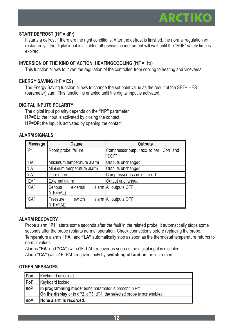

#### **START DEFROST (i1F = dFr)**

It starts a defrost if there are the right conditions. After the defrost is finished, the normal regulation will restart only if the digital input is disabled otherwise the instrument will wait until the "MdF" safety time is expired.

#### **INVERSION OF THE KIND OF ACTION: HEATINGCOOLING (i1F = Htr)**

This function allows to invert the regulation of the controller: from cooling to heating and viceversa.

#### **ENERGY SAVING (i1F = ES)**

The Energy Saving function allows to change the set point value as the result of the SET+ HES (parameter) sum. This function is enabled until the digital input is activated.

#### **DIGITAL INPUTS POLARITY**

The digital input polarity depends on the **"i1P"** parameter. **i1P=CL:** the input is activated by closing the contact. **i1P=OP:** the input is activated by opening the contact

#### **ALARM SIGNALS**

| Message | Cause                              | Outputs                                           |  |
|---------|------------------------------------|---------------------------------------------------|--|
| "P1"    | Room probe failure                 | Compressor output acc. to par. "Con" and<br>"COF" |  |
| l"HA"   | Maximum temperature alarm          | Outputs unchanged.                                |  |
| "LA"    | Minimum temperature alarm          | Outputs unchanged.                                |  |
| "dA"    | Door open                          | Compressor according to rrd                       |  |
| "EA"    | External alarm                     | Output unchanged.                                 |  |
| "CA"    | Serious<br>external<br>$(i1F=BAL)$ | alarm All outputs OFF.                            |  |
| "CA"    | switch<br>Pressure<br>$(i1F=PAL)$  | alarm All outputs OFF                             |  |

#### **ALARM RECOVERY**

Probe alarm **"P1"** starts some seconds after the fault in the related probe; it automatically stops some seconds after the probe restarts normal operation. Check connections before replacing the probe. Temperature alarms **"HA"** and **"LA"** automatically stop as soon as the thermostat temperature returns to normal values.

Alarms **"EA**" and **"CA"** (with i1F=bAL) recover as soon as the digital input is disabled. Alarm **"CA"** (with i1F=PAL) recovers only by **switching off and on** the instrument.

#### **OTHER MESSAGES**

| Pon  | Keyboard unlocked.                                                    |
|------|-----------------------------------------------------------------------|
| PoF  | Keyboard locked                                                       |
| noP  | In programming mode: none parameter is present in Pr1                 |
|      | On the display or in dP2, dP3, dP4: the selected probe is nor enabled |
| InoA | None alarm is recorded.                                               |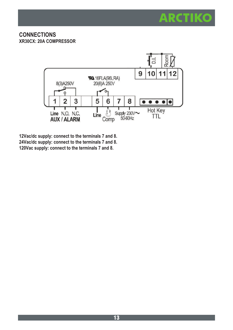

#### **CONNECTIONS XR30CX: 20A COMPRESSOR**



**12Vac/dc supply: connect to the terminals 7 and 8. 24Vac/dc supply: connect to the terminals 7 and 8. 120Vac supply: connect to the terminals 7 and 8.**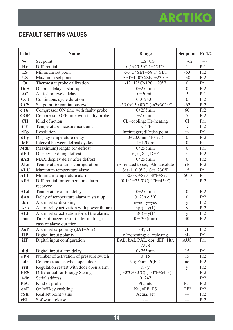# **DEFAULT SETTING VALUES**

| Label             | Name                                                                      | Range                                                                    | Set point                    | Pr 1/2          |
|-------------------|---------------------------------------------------------------------------|--------------------------------------------------------------------------|------------------------------|-----------------|
| Set               | Set point                                                                 | $LS + US$                                                                | $-62$                        |                 |
| Hv                | Differential                                                              | $0,1-25,5°C/1+255°C$                                                     | $\mathbf{1}$                 | Pr1             |
| LS                | Minimum set point                                                         | $-50^{\circ}$ C $\div$ SET/-58 $^{\circ}$ F $\div$ SET                   | $-63$                        | Pr2             |
| <b>US</b>         | Maximum set point                                                         | SET÷110°C/SET÷230°F                                                      | $-30$                        | Pr2             |
| Ot                | Thermostat probe calibration                                              | $-12 \div 12$ °C/-120÷120°F                                              | $\mathbf{0}$                 | Pr1             |
| OdS               | Outputs delay at start up                                                 | $0+255$ min                                                              | $\theta$                     | Pr2             |
| AC                | Anti-short cycle delay                                                    | $0+50$ min                                                               | 5                            | Pr1             |
| CCt               | Continuous cycle duration                                                 | $0.0 \div 24.0 h$                                                        | $\theta$                     | Pr <sub>2</sub> |
| <b>CCS</b>        | Set point for continuous cycle                                            | $(-55.0 \div 150.0^{\circ}C) (-67 \div 302^{\circ}F)$                    | $-62$                        | Pr <sub>2</sub> |
| $\mathbf{Con}$    | Compressor ON time with faulty probe                                      | $0+255$ min                                                              | 60                           | Pr <sub>2</sub> |
| <b>COF</b>        | Compressor OFF time with faulty probe                                     | $\div 255$ min                                                           | 5                            | Pr2             |
| <b>CH</b>         | Kind of action                                                            | CL=cooling; Ht=heating                                                   | Cl                           | Pr1             |
| CF                | Temperature measurement unit                                              | $^{\circ}C \div ^{\circ}F$                                               | $\rm ^{\circ}C$              | Pr2             |
| rES               | Resolution                                                                | In=integer; dE=dec.point                                                 | in                           | Pr1             |
| dLy               | Display temperature delay                                                 | $0+20.0$ min (10sec.)                                                    | $\mathbf{0}$                 | Pr <sub>2</sub> |
| IdF               | Interval between defrost cycles                                           | $1 \div 120$ ore                                                         | $\mathbf{0}$                 | Pr1             |
| <b>MdF</b>        | (Maximum) length for defrost                                              | $0+255$ min                                                              | $\mathbf{0}$                 | Pr1             |
| dFd               | Displaying duing defrost                                                  | rt, it, Set, DEF                                                         | rt                           | Pr2             |
| dAd               | MAX display delay after defrost                                           | $0+255$ min                                                              | $\theta$                     | Pr2             |
| ALc               | Temperature alarms configuration                                          | rE=related to set; Ab=absolute                                           | rE                           | Pr <sub>2</sub> |
| <b>ALU</b>        | Maximum temperature alarm                                                 | Set ÷110.0°C; Set ÷230°F                                                 | 15                           | Pr1             |
| <b>ALL</b>        | Minimum temperature alarm                                                 | -50.0°C÷Set/-58°F÷Set                                                    | $-50.0$                      | Pr1             |
| <b>AFH</b>        | Differential for temperature alarm                                        | $(0.1^{\circ}C \div 25.5^{\circ}C)(1^{\circ}F \div 45^{\circ}F)$         | $\mathbf{1}$                 | Pr2             |
|                   | recovery                                                                  |                                                                          |                              |                 |
| <b>ALd</b>        | Temperature alarm delay                                                   | $0+255$ min                                                              | $\mathbf{0}$                 | Pr2             |
| dAo               | Delay of temperature alarm at start up                                    | $0 + 23h e 50'$                                                          | $\mathbf{0}$                 | Pr2             |
| tbA               | Alarm relay disabling                                                     | n=no; y=yes                                                              | y                            | Pr <sub>2</sub> |
| Aro               | Alarm relay activation with power failure                                 | $n(0) - y(1)$                                                            | y                            | Pr <sub>2</sub> |
| <b>ALF</b>        | Alarm relay activation for all the alarms                                 | $n(0) - y(1)$                                                            | y                            | Pr2             |
| bon               | Time of buzzer restart after muting, in                                   | $0 \div 30$ (min)                                                        | 30                           | Pr2             |
|                   | case of alarm duration                                                    |                                                                          |                              |                 |
| AoP               | Alarm relay polarity (0A1=ALr)                                            | oP; cL                                                                   | cL                           | Pr <sub>2</sub> |
| i1P               | Digital input polarity                                                    | oP=opening; cL=closing                                                   | cL                           | Pr1             |
| i1F               | Digital input configuration                                               | EAL, bAL, PAL, dor; dEF; Htr,                                            | <b>AUS</b>                   | Pr1             |
|                   |                                                                           | <b>AUS</b>                                                               |                              |                 |
| did<br>nPS        | Digital input alarm delay<br>Number of activation of pressure switch      | $0+255$ min<br>0:15                                                      | 15                           | Pr1             |
|                   |                                                                           |                                                                          | 15                           | Pr2             |
| odc               | Compress status when open door<br>Regulation restart with door open alarm | No; Fan;CPr;F C                                                          | no                           | Pr2<br>Pr2      |
| rrd               | Differential for Energy Saving                                            | $n - y$<br>$(-30^{\circ}C - 30^{\circ}C)$ $(-54^{\circ}F - 54^{\circ}F)$ | y                            |                 |
| <b>HES</b><br>Adr | Serial address                                                            | $0 + 247$                                                                | $\mathbf{1}$<br>$\mathbf{1}$ | Pr2<br>Pr2      |
| PbC               | Kind of probe                                                             | Ptc; ntc                                                                 | Pt1                          | Pr2             |
| onF               | On/off key enabling                                                       | Nu, oFF; ES                                                              | <b>OFF</b>                   | Pr2             |
|                   | Real set point value                                                      |                                                                          |                              |                 |
| rSE<br>rEL        | Software release                                                          | Actual set                                                               | $---$<br>$\overline{a}$      | Pr2<br>Pr2      |
|                   |                                                                           |                                                                          |                              |                 |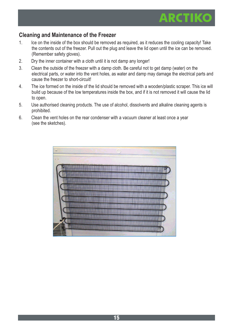# ARCTIK

### **Cleaning and Maintenance of the Freezer**

- 1. Ice on the inside of the box should be removed as required, as it reduces the cooling capacity! Take the contents out of the freezer. Pull out the plug and leave the lid open until the ice can be removed. (Remember safety gloves).
- 2. Dry the inner container with a cloth until it is not damp any longer!
- 3. Clean the outside of the freezer with a damp cloth. Be careful not to get damp (water) on the electrical parts, or water into the vent holes, as water and damp may damage the electrical parts and cause the freezer to short-circuit!
- 4. The ice formed on the inside of the lid should be removed with a wooden/plastic scraper. This ice will build up because of the low temperatures inside the box, and if it is not removed it will cause the lid to open.
- 5. Use authorised cleaning products. The use of alcohol, dissolvents and alkaline cleaning agents is prohibited.
- 6. Clean the vent holes on the rear condenser with a vacuum cleaner at least once a year (see the sketches).

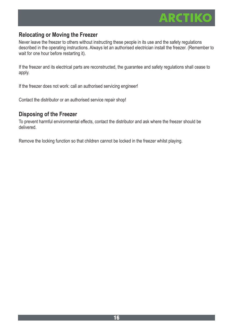

### **Relocating or Moving the Freezer**

Never leave the freezer to others without instructing these people in its use and the safety regulations described in the operating instructions. Always let an authorised electrician install the freezer. (Remember to wait for one hour before restarting it).

If the freezer and its electrical parts are reconstructed, the guarantee and safety regulations shall cease to apply.

If the freezer does not work: call an authorised servicing engineer!

Contact the distributor or an authorised service repair shop!

#### **Disposing of the Freezer**

To prevent harmful environmental effects, contact the distributor and ask where the freezer should be delivered.

Remove the locking function so that children cannot be locked in the freezer whilst playing.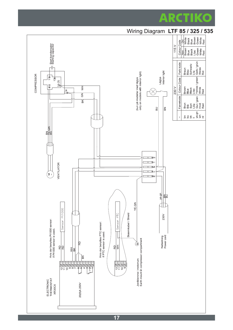

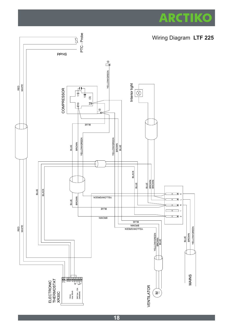

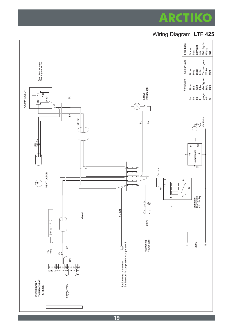

# Wiring Diagram **LTF 425**